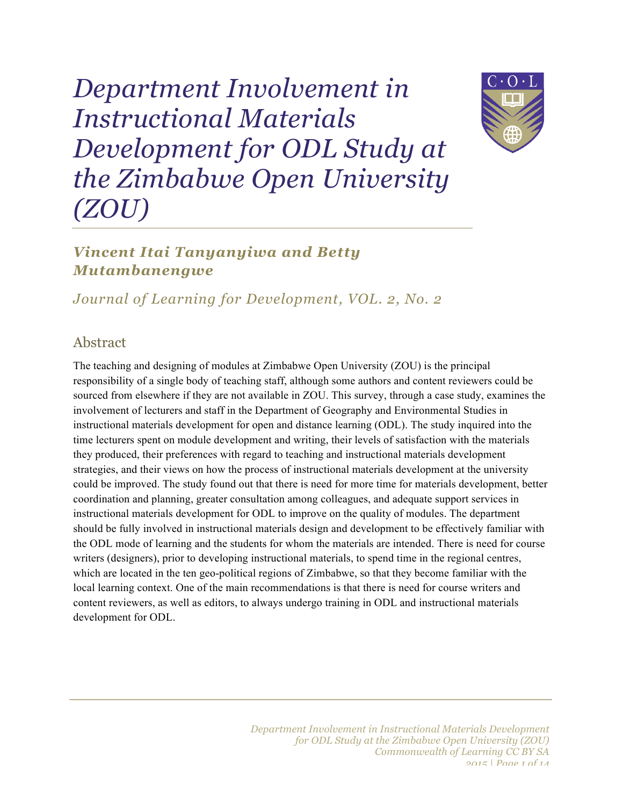*Department Involvement in Instructional Materials Development for ODL Study at the Zimbabwe Open University (ZOU)*

# *Vincent Itai Tanyanyiwa and Betty Mutambanengwe*

*Journal of Learning for Development, VOL. 2, No. 2*

### Abstract

The teaching and designing of modules at Zimbabwe Open University (ZOU) is the principal responsibility of a single body of teaching staff, although some authors and content reviewers could be sourced from elsewhere if they are not available in ZOU. This survey, through a case study, examines the involvement of lecturers and staff in the Department of Geography and Environmental Studies in instructional materials development for open and distance learning (ODL). The study inquired into the time lecturers spent on module development and writing, their levels of satisfaction with the materials they produced, their preferences with regard to teaching and instructional materials development strategies, and their views on how the process of instructional materials development at the university could be improved. The study found out that there is need for more time for materials development, better coordination and planning, greater consultation among colleagues, and adequate support services in instructional materials development for ODL to improve on the quality of modules. The department should be fully involved in instructional materials design and development to be effectively familiar with the ODL mode of learning and the students for whom the materials are intended. There is need for course writers (designers), prior to developing instructional materials, to spend time in the regional centres, which are located in the ten geo-political regions of Zimbabwe, so that they become familiar with the local learning context. One of the main recommendations is that there is need for course writers and content reviewers, as well as editors, to always undergo training in ODL and instructional materials development for ODL.

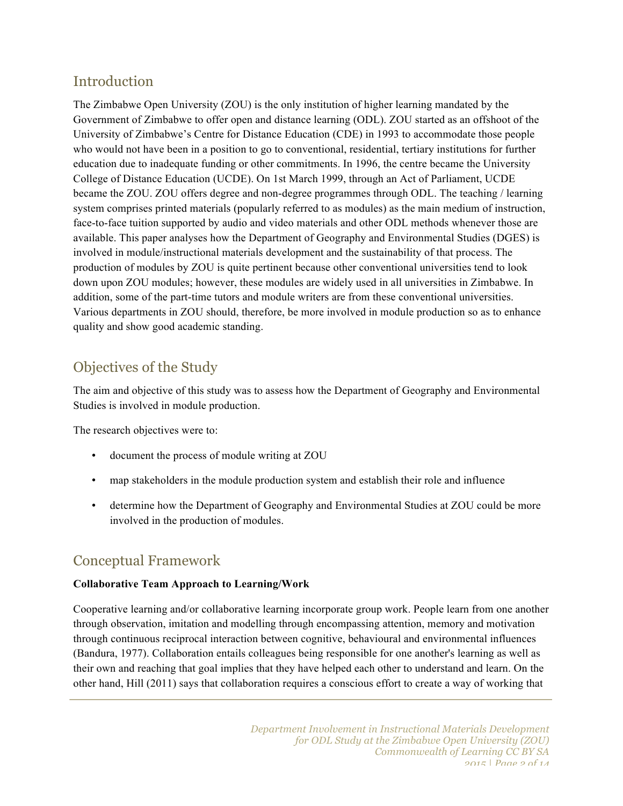## Introduction

The Zimbabwe Open University (ZOU) is the only institution of higher learning mandated by the Government of Zimbabwe to offer open and distance learning (ODL). ZOU started as an offshoot of the University of Zimbabwe's Centre for Distance Education (CDE) in 1993 to accommodate those people who would not have been in a position to go to conventional, residential, tertiary institutions for further education due to inadequate funding or other commitments. In 1996, the centre became the University College of Distance Education (UCDE). On 1st March 1999, through an Act of Parliament, UCDE became the ZOU. ZOU offers degree and non-degree programmes through ODL. The teaching / learning system comprises printed materials (popularly referred to as modules) as the main medium of instruction, face-to-face tuition supported by audio and video materials and other ODL methods whenever those are available. This paper analyses how the Department of Geography and Environmental Studies (DGES) is involved in module/instructional materials development and the sustainability of that process. The production of modules by ZOU is quite pertinent because other conventional universities tend to look down upon ZOU modules; however, these modules are widely used in all universities in Zimbabwe. In addition, some of the part-time tutors and module writers are from these conventional universities. Various departments in ZOU should, therefore, be more involved in module production so as to enhance quality and show good academic standing.

# Objectives of the Study

The aim and objective of this study was to assess how the Department of Geography and Environmental Studies is involved in module production.

The research objectives were to:

- document the process of module writing at ZOU
- map stakeholders in the module production system and establish their role and influence
- determine how the Department of Geography and Environmental Studies at ZOU could be more involved in the production of modules.

## Conceptual Framework

#### **Collaborative Team Approach to Learning/Work**

Cooperative learning and/or collaborative learning incorporate group work. People learn from one another through observation, imitation and modelling through encompassing attention, memory and motivation through continuous reciprocal interaction between cognitive, behavioural and environmental influences (Bandura, 1977). Collaboration entails colleagues being responsible for one another's learning as well as their own and reaching that goal implies that they have helped each other to understand and learn. On the other hand, Hill (2011) says that collaboration requires a conscious effort to create a way of working that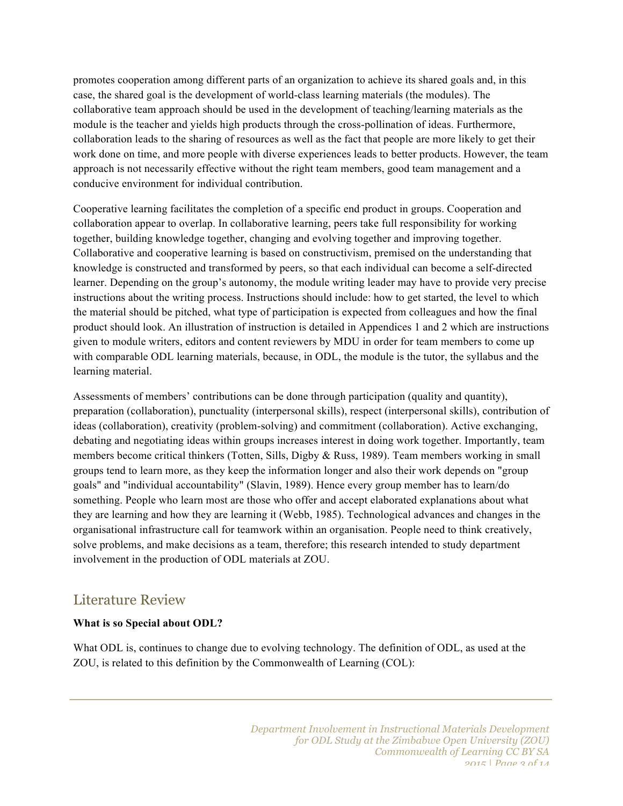promotes cooperation among different parts of an organization to achieve its shared goals and, in this case, the shared goal is the development of world-class learning materials (the modules). The collaborative team approach should be used in the development of teaching/learning materials as the module is the teacher and yields high products through the cross-pollination of ideas. Furthermore, collaboration leads to the sharing of resources as well as the fact that people are more likely to get their work done on time, and more people with diverse experiences leads to better products. However, the team approach is not necessarily effective without the right team members, good team management and a conducive environment for individual contribution.

Cooperative learning facilitates the completion of a specific end product in groups. Cooperation and collaboration appear to overlap. In collaborative learning, peers take full responsibility for working together, building knowledge together, changing and evolving together and improving together. Collaborative and cooperative learning is based on constructivism, premised on the understanding that knowledge is constructed and transformed by peers, so that each individual can become a self-directed learner. Depending on the group's autonomy, the module writing leader may have to provide very precise instructions about the writing process. Instructions should include: how to get started, the level to which the material should be pitched, what type of participation is expected from colleagues and how the final product should look. An illustration of instruction is detailed in Appendices 1 and 2 which are instructions given to module writers, editors and content reviewers by MDU in order for team members to come up with comparable ODL learning materials, because, in ODL, the module is the tutor, the syllabus and the learning material.

Assessments of members' contributions can be done through participation (quality and quantity), preparation (collaboration), punctuality (interpersonal skills), respect (interpersonal skills), contribution of ideas (collaboration), creativity (problem-solving) and commitment (collaboration). Active exchanging, debating and negotiating ideas within groups increases interest in doing work together. Importantly, team members become critical thinkers (Totten, Sills, Digby & Russ, 1989). Team members working in small groups tend to learn more, as they keep the information longer and also their work depends on "group goals" and "individual accountability" (Slavin, 1989). Hence every group member has to learn/do something. People who learn most are those who offer and accept elaborated explanations about what they are learning and how they are learning it (Webb, 1985). Technological advances and changes in the organisational infrastructure call for teamwork within an organisation. People need to think creatively, solve problems, and make decisions as a team, therefore; this research intended to study department involvement in the production of ODL materials at ZOU.

### Literature Review

#### **What is so Special about ODL?**

What ODL is, continues to change due to evolving technology. The definition of ODL, as used at the ZOU, is related to this definition by the Commonwealth of Learning (COL):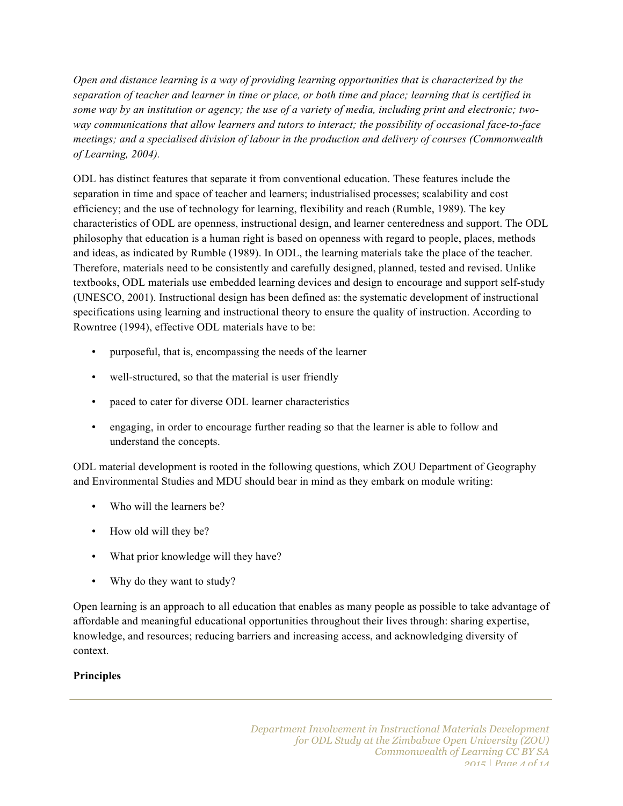*Open and distance learning is a way of providing learning opportunities that is characterized by the separation of teacher and learner in time or place, or both time and place; learning that is certified in some way by an institution or agency; the use of a variety of media, including print and electronic; twoway communications that allow learners and tutors to interact; the possibility of occasional face-to-face meetings; and a specialised division of labour in the production and delivery of courses (Commonwealth of Learning, 2004).*

ODL has distinct features that separate it from conventional education. These features include the separation in time and space of teacher and learners; industrialised processes; scalability and cost efficiency; and the use of technology for learning, flexibility and reach (Rumble, 1989). The key characteristics of ODL are openness, instructional design, and learner centeredness and support. The ODL philosophy that education is a human right is based on openness with regard to people, places, methods and ideas, as indicated by Rumble (1989). In ODL, the learning materials take the place of the teacher. Therefore, materials need to be consistently and carefully designed, planned, tested and revised. Unlike textbooks, ODL materials use embedded learning devices and design to encourage and support self-study (UNESCO, 2001). Instructional design has been defined as: the systematic development of instructional specifications using learning and instructional theory to ensure the quality of instruction. According to Rowntree (1994), effective ODL materials have to be:

- purposeful, that is, encompassing the needs of the learner
- well-structured, so that the material is user friendly
- paced to cater for diverse ODL learner characteristics
- engaging, in order to encourage further reading so that the learner is able to follow and understand the concepts.

ODL material development is rooted in the following questions, which ZOU Department of Geography and Environmental Studies and MDU should bear in mind as they embark on module writing:

- Who will the learners be?
- How old will they be?
- What prior knowledge will they have?
- Why do they want to study?

Open learning is an approach to all education that enables as many people as possible to take advantage of affordable and meaningful educational opportunities throughout their lives through: sharing expertise, knowledge, and resources; reducing barriers and increasing access, and acknowledging diversity of context.

#### **Principles**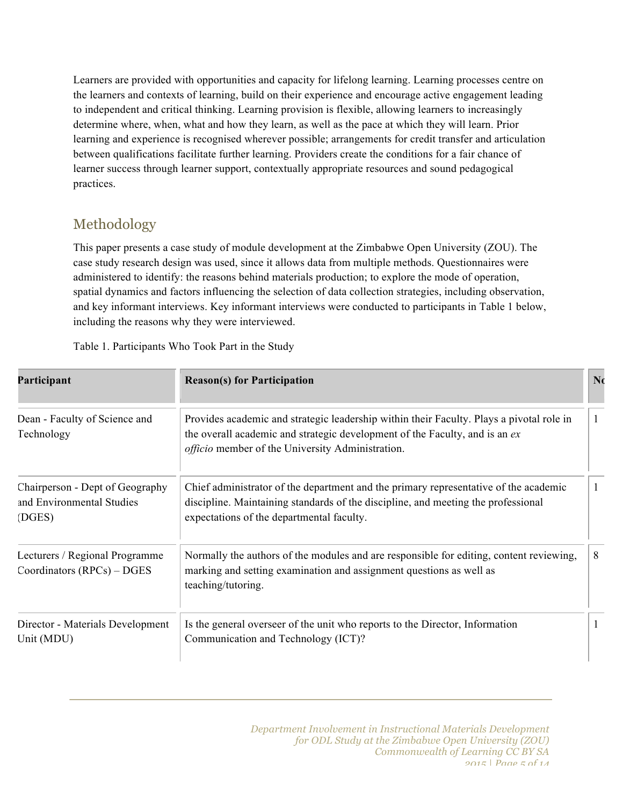Learners are provided with opportunities and capacity for lifelong learning. Learning processes centre on the learners and contexts of learning, build on their experience and encourage active engagement leading to independent and critical thinking. Learning provision is flexible, allowing learners to increasingly determine where, when, what and how they learn, as well as the pace at which they will learn. Prior learning and experience is recognised wherever possible; arrangements for credit transfer and articulation between qualifications facilitate further learning. Providers create the conditions for a fair chance of learner success through learner support, contextually appropriate resources and sound pedagogical practices.

# Methodology

This paper presents a case study of module development at the Zimbabwe Open University (ZOU). The case study research design was used, since it allows data from multiple methods. Questionnaires were administered to identify: the reasons behind materials production; to explore the mode of operation, spatial dynamics and factors influencing the selection of data collection strategies, including observation, and key informant interviews. Key informant interviews were conducted to participants in Table 1 below, including the reasons why they were interviewed.

| Table 1. Participants Who Took Part in the Study |  |  |  |  |
|--------------------------------------------------|--|--|--|--|
|--------------------------------------------------|--|--|--|--|

| Participant                                                            | <b>Reason(s)</b> for Participation                                                                                                                                                                                                 | N <sub>c</sub> |
|------------------------------------------------------------------------|------------------------------------------------------------------------------------------------------------------------------------------------------------------------------------------------------------------------------------|----------------|
| Dean - Faculty of Science and<br>Technology                            | Provides academic and strategic leadership within their Faculty. Plays a pivotal role in<br>the overall academic and strategic development of the Faculty, and is an ex<br><i>officio</i> member of the University Administration. |                |
| Chairperson - Dept of Geography<br>and Environmental Studies<br>(DGES) | Chief administrator of the department and the primary representative of the academic<br>discipline. Maintaining standards of the discipline, and meeting the professional<br>expectations of the departmental faculty.             |                |
| Lecturers / Regional Programme<br>Coordinators $(RPCs) - DGES$         | Normally the authors of the modules and are responsible for editing, content reviewing,<br>marking and setting examination and assignment questions as well as<br>teaching/tutoring.                                               | 8              |
| Director - Materials Development<br>Unit (MDU)                         | Is the general overseer of the unit who reports to the Director, Information<br>Communication and Technology (ICT)?                                                                                                                |                |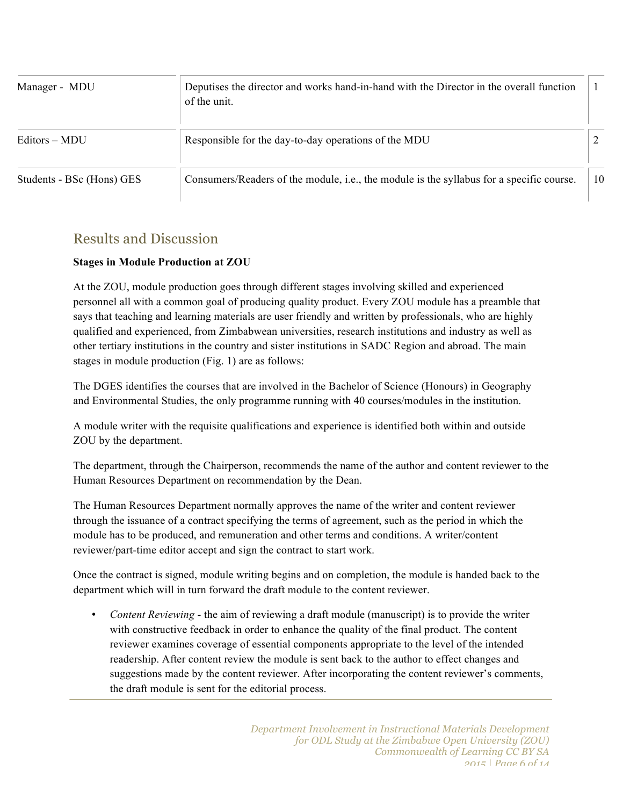| Manager - MDU             | Deputises the director and works hand-in-hand with the Director in the overall function<br>of the unit. |    |
|---------------------------|---------------------------------------------------------------------------------------------------------|----|
| Editors – MDU             | Responsible for the day-to-day operations of the MDU                                                    |    |
| Students - BSc (Hons) GES | Consumers/Readers of the module, <i>i.e.</i> , the module is the syllabus for a specific course.        | 10 |

### Results and Discussion

#### **Stages in Module Production at ZOU**

At the ZOU, module production goes through different stages involving skilled and experienced personnel all with a common goal of producing quality product. Every ZOU module has a preamble that says that teaching and learning materials are user friendly and written by professionals, who are highly qualified and experienced, from Zimbabwean universities, research institutions and industry as well as other tertiary institutions in the country and sister institutions in SADC Region and abroad. The main stages in module production (Fig. 1) are as follows:

The DGES identifies the courses that are involved in the Bachelor of Science (Honours) in Geography and Environmental Studies, the only programme running with 40 courses/modules in the institution.

A module writer with the requisite qualifications and experience is identified both within and outside ZOU by the department.

The department, through the Chairperson, recommends the name of the author and content reviewer to the Human Resources Department on recommendation by the Dean.

The Human Resources Department normally approves the name of the writer and content reviewer through the issuance of a contract specifying the terms of agreement, such as the period in which the module has to be produced, and remuneration and other terms and conditions. A writer/content reviewer/part-time editor accept and sign the contract to start work.

Once the contract is signed, module writing begins and on completion, the module is handed back to the department which will in turn forward the draft module to the content reviewer.

• *Content Reviewing* - the aim of reviewing a draft module (manuscript) is to provide the writer with constructive feedback in order to enhance the quality of the final product. The content reviewer examines coverage of essential components appropriate to the level of the intended readership. After content review the module is sent back to the author to effect changes and suggestions made by the content reviewer. After incorporating the content reviewer's comments, the draft module is sent for the editorial process.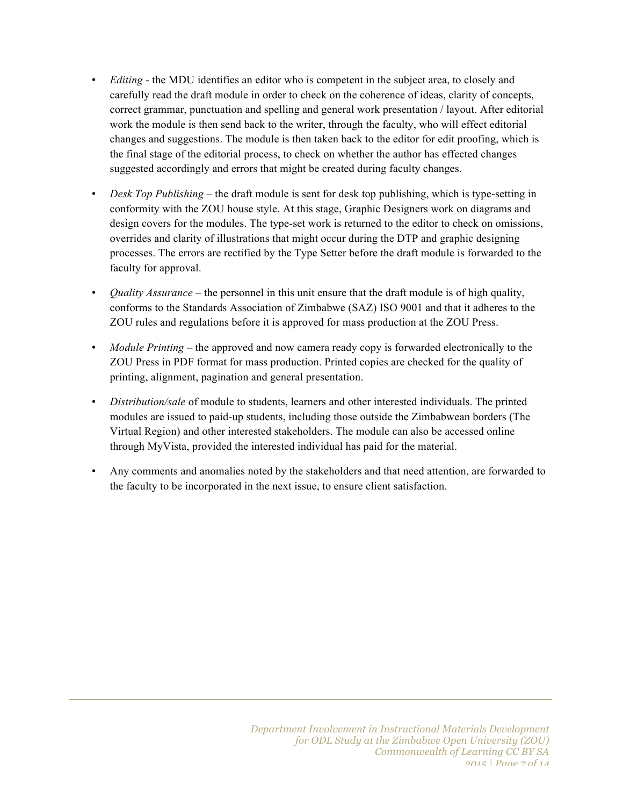- *Editing* the MDU identifies an editor who is competent in the subject area, to closely and carefully read the draft module in order to check on the coherence of ideas, clarity of concepts, correct grammar, punctuation and spelling and general work presentation / layout. After editorial work the module is then send back to the writer, through the faculty, who will effect editorial changes and suggestions. The module is then taken back to the editor for edit proofing, which is the final stage of the editorial process, to check on whether the author has effected changes suggested accordingly and errors that might be created during faculty changes.
- *Desk Top Publishing* the draft module is sent for desk top publishing, which is type-setting in conformity with the ZOU house style. At this stage, Graphic Designers work on diagrams and design covers for the modules. The type-set work is returned to the editor to check on omissions, overrides and clarity of illustrations that might occur during the DTP and graphic designing processes. The errors are rectified by the Type Setter before the draft module is forwarded to the faculty for approval.
- *Quality Assurance* the personnel in this unit ensure that the draft module is of high quality, conforms to the Standards Association of Zimbabwe (SAZ) ISO 9001 and that it adheres to the ZOU rules and regulations before it is approved for mass production at the ZOU Press.
- *Module Printing* the approved and now camera ready copy is forwarded electronically to the ZOU Press in PDF format for mass production. Printed copies are checked for the quality of printing, alignment, pagination and general presentation.
- *Distribution/sale* of module to students, learners and other interested individuals. The printed modules are issued to paid-up students, including those outside the Zimbabwean borders (The Virtual Region) and other interested stakeholders. The module can also be accessed online through MyVista, provided the interested individual has paid for the material.
- Any comments and anomalies noted by the stakeholders and that need attention, are forwarded to the faculty to be incorporated in the next issue, to ensure client satisfaction.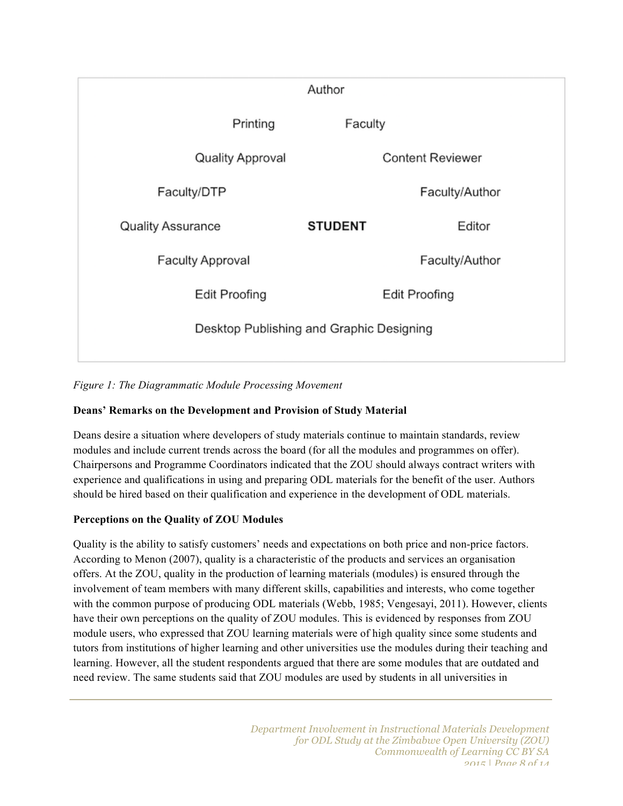

*Figure 1: The Diagrammatic Module Processing Movement*

#### **Deans' Remarks on the Development and Provision of Study Material**

Deans desire a situation where developers of study materials continue to maintain standards, review modules and include current trends across the board (for all the modules and programmes on offer). Chairpersons and Programme Coordinators indicated that the ZOU should always contract writers with experience and qualifications in using and preparing ODL materials for the benefit of the user. Authors should be hired based on their qualification and experience in the development of ODL materials.

#### **Perceptions on the Quality of ZOU Modules**

Quality is the ability to satisfy customers' needs and expectations on both price and non-price factors. According to Menon (2007), quality is a characteristic of the products and services an organisation offers. At the ZOU, quality in the production of learning materials (modules) is ensured through the involvement of team members with many different skills, capabilities and interests, who come together with the common purpose of producing ODL materials (Webb, 1985; Vengesayi, 2011). However, clients have their own perceptions on the quality of ZOU modules. This is evidenced by responses from ZOU module users, who expressed that ZOU learning materials were of high quality since some students and tutors from institutions of higher learning and other universities use the modules during their teaching and learning. However, all the student respondents argued that there are some modules that are outdated and need review. The same students said that ZOU modules are used by students in all universities in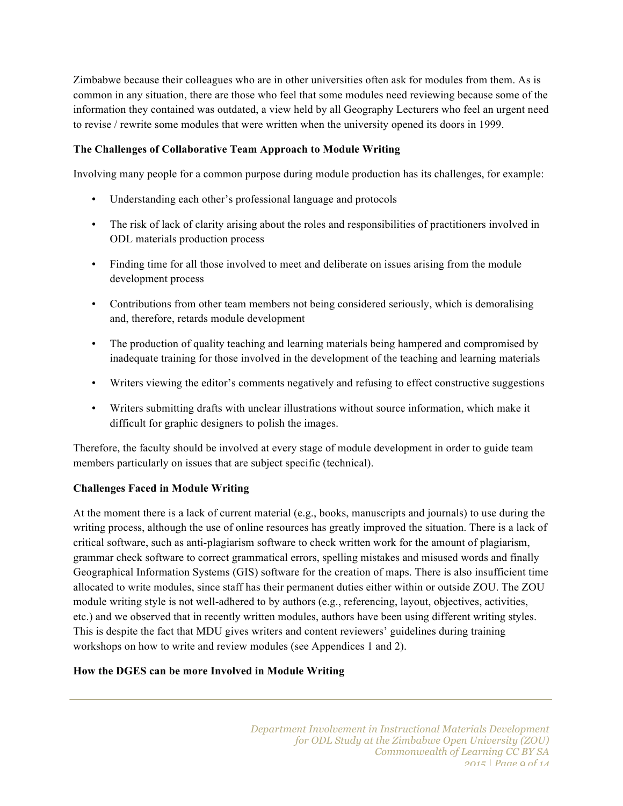Zimbabwe because their colleagues who are in other universities often ask for modules from them. As is common in any situation, there are those who feel that some modules need reviewing because some of the information they contained was outdated, a view held by all Geography Lecturers who feel an urgent need to revise / rewrite some modules that were written when the university opened its doors in 1999.

#### **The Challenges of Collaborative Team Approach to Module Writing**

Involving many people for a common purpose during module production has its challenges, for example:

- Understanding each other's professional language and protocols
- The risk of lack of clarity arising about the roles and responsibilities of practitioners involved in ODL materials production process
- Finding time for all those involved to meet and deliberate on issues arising from the module development process
- Contributions from other team members not being considered seriously, which is demoralising and, therefore, retards module development
- The production of quality teaching and learning materials being hampered and compromised by inadequate training for those involved in the development of the teaching and learning materials
- Writers viewing the editor's comments negatively and refusing to effect constructive suggestions
- Writers submitting drafts with unclear illustrations without source information, which make it difficult for graphic designers to polish the images.

Therefore, the faculty should be involved at every stage of module development in order to guide team members particularly on issues that are subject specific (technical).

#### **Challenges Faced in Module Writing**

At the moment there is a lack of current material (e.g., books, manuscripts and journals) to use during the writing process, although the use of online resources has greatly improved the situation. There is a lack of critical software, such as anti-plagiarism software to check written work for the amount of plagiarism, grammar check software to correct grammatical errors, spelling mistakes and misused words and finally Geographical Information Systems (GIS) software for the creation of maps. There is also insufficient time allocated to write modules, since staff has their permanent duties either within or outside ZOU. The ZOU module writing style is not well-adhered to by authors (e.g., referencing, layout, objectives, activities, etc.) and we observed that in recently written modules, authors have been using different writing styles. This is despite the fact that MDU gives writers and content reviewers' guidelines during training workshops on how to write and review modules (see Appendices 1 and 2).

#### **How the DGES can be more Involved in Module Writing**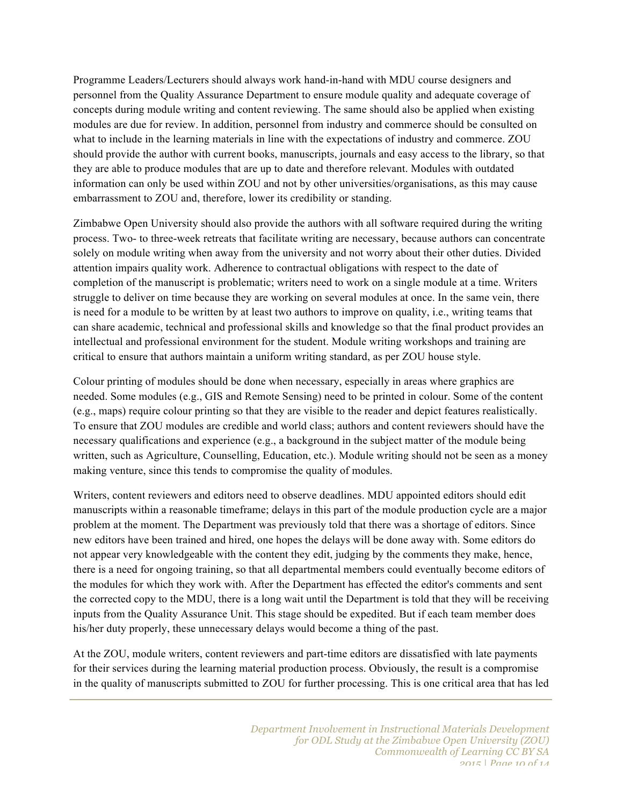Programme Leaders/Lecturers should always work hand-in-hand with MDU course designers and personnel from the Quality Assurance Department to ensure module quality and adequate coverage of concepts during module writing and content reviewing. The same should also be applied when existing modules are due for review. In addition, personnel from industry and commerce should be consulted on what to include in the learning materials in line with the expectations of industry and commerce. ZOU should provide the author with current books, manuscripts, journals and easy access to the library, so that they are able to produce modules that are up to date and therefore relevant. Modules with outdated information can only be used within ZOU and not by other universities/organisations, as this may cause embarrassment to ZOU and, therefore, lower its credibility or standing.

Zimbabwe Open University should also provide the authors with all software required during the writing process. Two- to three-week retreats that facilitate writing are necessary, because authors can concentrate solely on module writing when away from the university and not worry about their other duties. Divided attention impairs quality work. Adherence to contractual obligations with respect to the date of completion of the manuscript is problematic; writers need to work on a single module at a time. Writers struggle to deliver on time because they are working on several modules at once. In the same vein, there is need for a module to be written by at least two authors to improve on quality, i.e., writing teams that can share academic, technical and professional skills and knowledge so that the final product provides an intellectual and professional environment for the student. Module writing workshops and training are critical to ensure that authors maintain a uniform writing standard, as per ZOU house style.

Colour printing of modules should be done when necessary, especially in areas where graphics are needed. Some modules (e.g., GIS and Remote Sensing) need to be printed in colour. Some of the content (e.g., maps) require colour printing so that they are visible to the reader and depict features realistically. To ensure that ZOU modules are credible and world class; authors and content reviewers should have the necessary qualifications and experience (e.g., a background in the subject matter of the module being written, such as Agriculture, Counselling, Education, etc.). Module writing should not be seen as a money making venture, since this tends to compromise the quality of modules.

Writers, content reviewers and editors need to observe deadlines. MDU appointed editors should edit manuscripts within a reasonable timeframe; delays in this part of the module production cycle are a major problem at the moment. The Department was previously told that there was a shortage of editors. Since new editors have been trained and hired, one hopes the delays will be done away with. Some editors do not appear very knowledgeable with the content they edit, judging by the comments they make, hence, there is a need for ongoing training, so that all departmental members could eventually become editors of the modules for which they work with. After the Department has effected the editor's comments and sent the corrected copy to the MDU, there is a long wait until the Department is told that they will be receiving inputs from the Quality Assurance Unit. This stage should be expedited. But if each team member does his/her duty properly, these unnecessary delays would become a thing of the past.

At the ZOU, module writers, content reviewers and part-time editors are dissatisfied with late payments for their services during the learning material production process. Obviously, the result is a compromise in the quality of manuscripts submitted to ZOU for further processing. This is one critical area that has led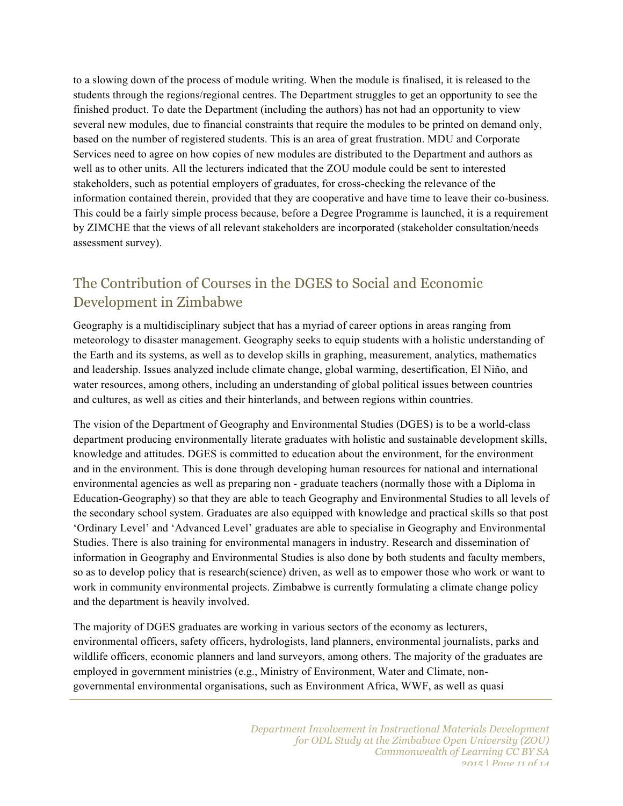to a slowing down of the process of module writing. When the module is finalised, it is released to the students through the regions/regional centres. The Department struggles to get an opportunity to see the finished product. To date the Department (including the authors) has not had an opportunity to view several new modules, due to financial constraints that require the modules to be printed on demand only, based on the number of registered students. This is an area of great frustration. MDU and Corporate Services need to agree on how copies of new modules are distributed to the Department and authors as well as to other units. All the lecturers indicated that the ZOU module could be sent to interested stakeholders, such as potential employers of graduates, for cross-checking the relevance of the information contained therein, provided that they are cooperative and have time to leave their co-business. This could be a fairly simple process because, before a Degree Programme is launched, it is a requirement by ZIMCHE that the views of all relevant stakeholders are incorporated (stakeholder consultation/needs assessment survey).

## The Contribution of Courses in the DGES to Social and Economic Development in Zimbabwe

Geography is a multidisciplinary subject that has a myriad of career options in areas ranging from meteorology to disaster management. Geography seeks to equip students with a holistic understanding of the Earth and its systems, as well as to develop skills in graphing, measurement, analytics, mathematics and leadership. Issues analyzed include climate change, global warming, desertification, El Niño, and water resources, among others, including an understanding of global political issues between countries and cultures, as well as cities and their hinterlands, and between regions within countries.

The vision of the Department of Geography and Environmental Studies (DGES) is to be a world-class department producing environmentally literate graduates with holistic and sustainable development skills, knowledge and attitudes. DGES is committed to education about the environment, for the environment and in the environment. This is done through developing human resources for national and international environmental agencies as well as preparing non - graduate teachers (normally those with a Diploma in Education-Geography) so that they are able to teach Geography and Environmental Studies to all levels of the secondary school system. Graduates are also equipped with knowledge and practical skills so that post 'Ordinary Level' and 'Advanced Level' graduates are able to specialise in Geography and Environmental Studies. There is also training for environmental managers in industry. Research and dissemination of information in Geography and Environmental Studies is also done by both students and faculty members, so as to develop policy that is research(science) driven, as well as to empower those who work or want to work in community environmental projects. Zimbabwe is currently formulating a climate change policy and the department is heavily involved.

The majority of DGES graduates are working in various sectors of the economy as lecturers, environmental officers, safety officers, hydrologists, land planners, environmental journalists, parks and wildlife officers, economic planners and land surveyors, among others. The majority of the graduates are employed in government ministries (e.g., Ministry of Environment, Water and Climate, nongovernmental environmental organisations, such as Environment Africa, WWF, as well as quasi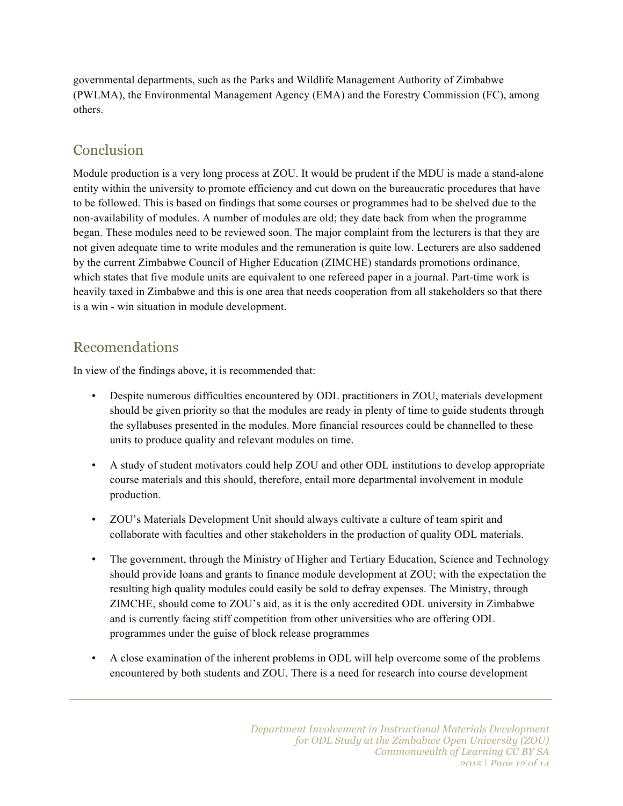governmental departments, such as the Parks and Wildlife Management Authority of Zimbabwe (PWLMA), the Environmental Management Agency (EMA) and the Forestry Commission (FC), among others.

# Conclusion

Module production is a very long process at ZOU. It would be prudent if the MDU is made a stand-alone entity within the university to promote efficiency and cut down on the bureaucratic procedures that have to be followed. This is based on findings that some courses or programmes had to be shelved due to the non-availability of modules. A number of modules are old; they date back from when the programme began. These modules need to be reviewed soon. The major complaint from the lecturers is that they are not given adequate time to write modules and the remuneration is quite low. Lecturers are also saddened by the current Zimbabwe Council of Higher Education (ZIMCHE) standards promotions ordinance, which states that five module units are equivalent to one refereed paper in a journal. Part-time work is heavily taxed in Zimbabwe and this is one area that needs cooperation from all stakeholders so that there is a win - win situation in module development.

### Recomendations

In view of the findings above, it is recommended that:

- Despite numerous difficulties encountered by ODL practitioners in ZOU, materials development should be given priority so that the modules are ready in plenty of time to guide students through the syllabuses presented in the modules. More financial resources could be channelled to these units to produce quality and relevant modules on time.
- A study of student motivators could help ZOU and other ODL institutions to develop appropriate course materials and this should, therefore, entail more departmental involvement in module production.
- ZOU's Materials Development Unit should always cultivate a culture of team spirit and collaborate with faculties and other stakeholders in the production of quality ODL materials.
- The government, through the Ministry of Higher and Tertiary Education, Science and Technology should provide loans and grants to finance module development at ZOU; with the expectation the resulting high quality modules could easily be sold to defray expenses. The Ministry, through ZIMCHE, should come to ZOU's aid, as it is the only accredited ODL university in Zimbabwe and is currently facing stiff competition from other universities who are offering ODL programmes under the guise of block release programmes
- A close examination of the inherent problems in ODL will help overcome some of the problems encountered by both students and ZOU. There is a need for research into course development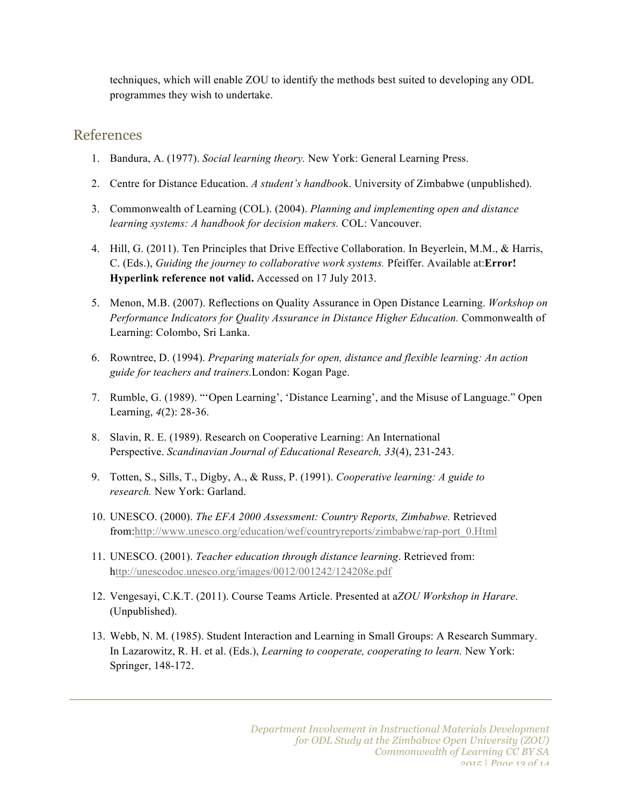techniques, which will enable ZOU to identify the methods best suited to developing any ODL programmes they wish to undertake.

### References

- 1. Bandura, A. (1977). *Social learning theory.* New York: General Learning Press.
- 2. Centre for Distance Education. *A student's handboo*k. University of Zimbabwe (unpublished).
- 3. Commonwealth of Learning (COL). (2004). *Planning and implementing open and distance learning systems: A handbook for decision makers.* COL: Vancouver.
- 4. Hill, G. (2011). Ten Principles that Drive Effective Collaboration. In Beyerlein, M.M., & Harris, C. (Eds.), *Guiding the journey to collaborative work systems.* Pfeiffer. Available at:**Error! Hyperlink reference not valid.** Accessed on 17 July 2013.
- 5. Menon, M.B. (2007). Reflections on Quality Assurance in Open Distance Learning. *Workshop on Performance Indicators for Quality Assurance in Distance Higher Education.* Commonwealth of Learning: Colombo, Sri Lanka.
- 6. Rowntree, D. (1994). *Preparing materials for open, distance and flexible learning: An action guide for teachers and trainers.*London: Kogan Page.
- 7. Rumble, G. (1989). "'Open Learning', 'Distance Learning', and the Misuse of Language." Open Learning, *4*(2): 28-36.
- 8. Slavin, R. E. (1989). Research on Cooperative Learning: An International Perspective. *Scandinavian Journal of Educational Research, 33*(4), 231-243.
- 9. Totten, S., Sills, T., Digby, A., & Russ, P. (1991). *Cooperative learning: A guide to research.* New York: Garland.
- 10. UNESCO. (2000). *The EFA 2000 Assessment: Country Reports, Zimbabwe.* Retrieved from:http://www.unesco.org/education/wef/countryreports/zimbabwe/rap-port\_0.Html
- 11. UNESCO. (2001). *Teacher education through distance learning*. Retrieved from: http://unescodoc.unesco.org/images/0012/001242/124208e.pdf
- 12. Vengesayi, C.K.T. (2011). Course Teams Article. Presented at a*ZOU Workshop in Harare*. (Unpublished).
- 13. Webb, N. M. (1985). Student Interaction and Learning in Small Groups: A Research Summary. In Lazarowitz, R. H. et al. (Eds.), *Learning to cooperate, cooperating to learn.* New York: Springer, 148-172.